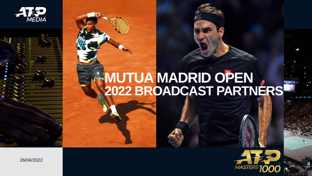

## **MUTUA MADRID OPEN 2022 BROADCAST PARTNERS**



26/04/2022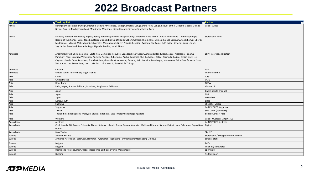## **2022 Broadcast Partners**

| Region      | <b>Territory List</b>                                                                                                                                                                                                                                                                                                                                                                                                                                                                                                         | <b>E</b> Partner<br>┍                |
|-------------|-------------------------------------------------------------------------------------------------------------------------------------------------------------------------------------------------------------------------------------------------------------------------------------------------------------------------------------------------------------------------------------------------------------------------------------------------------------------------------------------------------------------------------|--------------------------------------|
| Africa      | Benin; Burkina Faso; Burundi; Cameroon; Central African Rep.; Chad; Comoros; Congo, Dem. Rep.; Congo, Repub. of the; Djibouti; Gabon; Guinea-<br>Bissau; Guinea; Madagascar; Mali; Mauritania; Mauritius; Niger; Rwanda; Senegal; Seychelles; Togo                                                                                                                                                                                                                                                                            | Canal+ Africa                        |
| Africa      | Lesotho; Namibia; Zimbabwe; Angola; Benin; Botswana; Burkina Faso; Burundi; Cameroon; Cape Verde; Central African Rep.; Comoros; Congo,<br>Repub. of the; Congo, Dem. Rep.; Equatorial Guinea; Eritrea; Ethiopia; Gabon; Gambia, The; Ghana; Guinea; Guinea-Bissau; Guyana; Kenya; Liberia;<br>Madagascar; Malawi; Mali; Mauritius; Mayotte; Mozambique; Niger; Nigeria; Reunion; Rwanda; Sao Tome & Principe; Senegal; Sierra Leone;<br>Seychelles; Swaziland; Tanzania; Togo; Uganda; Zambia; South Africa                  | Supersport Africa                    |
| Americas    | Argentina; Brazil; Chile; Colombia; Costa Rica; Dominican Republic; Ecuador; El Salvador; Guatemala; Honduras; Mexico; Nicaragua; Panama;<br>Paraguay; Peru; Uruguay; Venezuela; Anguilla; Antigua & Barbuda; Aruba; Bahamas, The; Barbados; Belize; Bermuda; Bolivia; British Virgin Is.;<br>Cayman Islands; Cuba; Dominica; French Guiana; Grenada; Guadeloupe; Guyana; Haiti; Jamaica; Martinique; Montserrat; Saint Kitts & Nevis; Saint<br>Vincent and the Grenadines; Saint Lucia; Turks & Caicos Is; Trinidad & Tobago | <b>ESPN International Latam</b>      |
| Americas    | Canada                                                                                                                                                                                                                                                                                                                                                                                                                                                                                                                        | <b>TSN</b>                           |
| Americas    | United States; Puerto Rico; Virgin Islands                                                                                                                                                                                                                                                                                                                                                                                                                                                                                    | <b>Tennis Channel</b>                |
| Asia        | China                                                                                                                                                                                                                                                                                                                                                                                                                                                                                                                         | iQiyi                                |
| Asia        | China; Macao                                                                                                                                                                                                                                                                                                                                                                                                                                                                                                                  | <b>CCTV</b>                          |
| Asia        | Hong Kong                                                                                                                                                                                                                                                                                                                                                                                                                                                                                                                     | PCCW                                 |
| Asia        | India; Nepal; Bhutan; Pakistan; Maldives; Bangladesh; Sri Lanka                                                                                                                                                                                                                                                                                                                                                                                                                                                               | Viacom18                             |
| Asia        | Japan                                                                                                                                                                                                                                                                                                                                                                                                                                                                                                                         | Gaora Sports Channel                 |
| Asia        | Japan                                                                                                                                                                                                                                                                                                                                                                                                                                                                                                                         | <b>NHK</b>                           |
| Asia        | Japan                                                                                                                                                                                                                                                                                                                                                                                                                                                                                                                         | wowow                                |
| Asia        | Korea, South                                                                                                                                                                                                                                                                                                                                                                                                                                                                                                                  | Eclat                                |
| Asia        | Shanghai                                                                                                                                                                                                                                                                                                                                                                                                                                                                                                                      | Shanghai Media                       |
| Asia        | Singapore                                                                                                                                                                                                                                                                                                                                                                                                                                                                                                                     | beIN SPORTS Singapore                |
| Asia        | Taiwan                                                                                                                                                                                                                                                                                                                                                                                                                                                                                                                        | Sino Catch (Sportcast)               |
| Asia        | Thailand; Cambodia; Laos; Malaysia; Brunei; Indonesia; East Timor; Philippines; Singapore                                                                                                                                                                                                                                                                                                                                                                                                                                     | beIN Southeast Asia                  |
| Asia        | Vietnam                                                                                                                                                                                                                                                                                                                                                                                                                                                                                                                       | Canal+ Overseas (K+) (VSTV)          |
| Australasia | Australia                                                                                                                                                                                                                                                                                                                                                                                                                                                                                                                     | beIN SPORTS Australia                |
| Australasia | Cook Islands; Fiji; French Polynesia; Nauru; Soloman Islands; Tonga; Tuvalu; Vanuatu; Wallis and Futuna; Samoa; Kiribati; New Caledonia; Papua New<br>Guinea                                                                                                                                                                                                                                                                                                                                                                  | Digicel                              |
| Australasia | New Zealand                                                                                                                                                                                                                                                                                                                                                                                                                                                                                                                   | Sky NZ                               |
| Europe      | Albania; Kosovo                                                                                                                                                                                                                                                                                                                                                                                                                                                                                                               | Supersport / Straightforward Albania |
| Europe      | Armenia; Azerbaijan; Belarus; Kazakhstan; Kyrgyzstan; Tajikistan; Turkmenistan; Uzbekistan; Moldova                                                                                                                                                                                                                                                                                                                                                                                                                           | Setanta Stans                        |
| Europe      | Belgium                                                                                                                                                                                                                                                                                                                                                                                                                                                                                                                       | <b>BeTV</b>                          |
| Europe      | Belgium                                                                                                                                                                                                                                                                                                                                                                                                                                                                                                                       | Telenet (Play Sports)                |
| Europe      | Bosnia and Herzegovina; Croatia; Macedonia; Serbia; Slovenia; Montenegro                                                                                                                                                                                                                                                                                                                                                                                                                                                      | Sportklub                            |
| Europe      | <b>Bulgaria</b>                                                                                                                                                                                                                                                                                                                                                                                                                                                                                                               | A1 Max Sport                         |